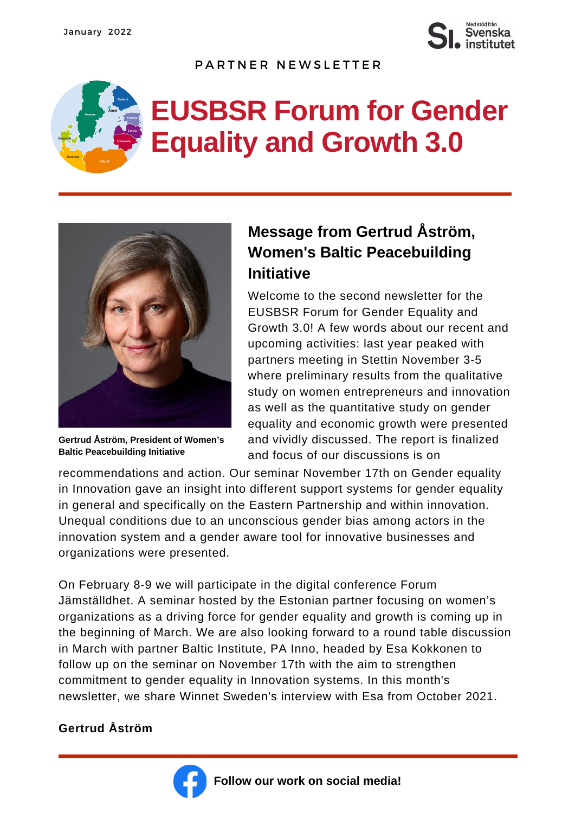

PARTNER NEWSLETTER

## **EUSBSR Forum for Gender Equality and Growth 3.0**



**Gertrud Åström, President of Women's Baltic Peacebuilding Initiative**

## **Message from Gertrud Åström, Women's Baltic Peacebuilding Initiative**

Welcome to the second newsletter for the EUSBSR Forum for Gender Equality and Growth 3.0! A few words about our recent and upcoming activities: last year peaked with partners meeting in Stettin November 3-5 where preliminary results from the qualitative study on women entrepreneurs and innovation as well as the quantitative study on gender equality and economic growth were presented and vividly discussed. The report is finalized and focus of our discussions is on

recommendations and action. Our seminar November 17th on Gender equality in Innovation gave an insight into different support systems for gender equality in general and specifically on the Eastern Partnership and within innovation. Unequal conditions due to an unconscious gender bias among actors in the innovation system and a gender aware tool for innovative businesses and organizations were presented.

On February 8-9 we will participate in the digital conference Forum Jämställdhet. A seminar hosted by the Estonian partner focusing on women's organizations as a driving force for gender equality and growth is coming up in the beginning of March. We are also looking forward to a round table discussion in March with partner Baltic Institute, PA Inno, headed by Esa Kokkonen to follow up on the seminar on November 17th with the aim to strengthen commitment to gender equality in Innovation systems. In this month's newsletter, we share Winnet Sweden's interview with Esa from October 2021.

## **Gertrud Åström**